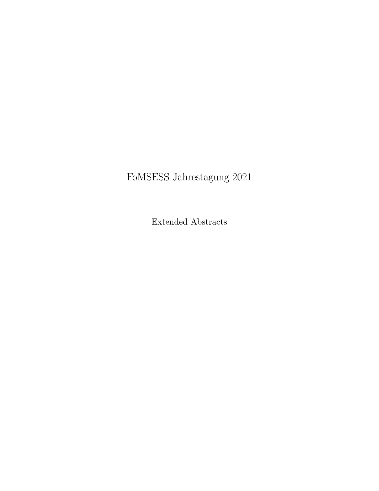# FoMSESS Jahrestagung 2021

Extended Abstracts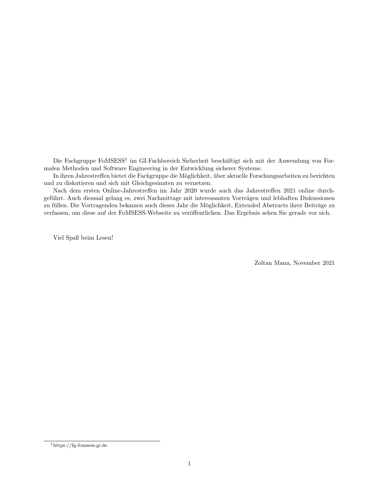Die Fachgruppe FoMSESS<sup>1</sup> im GI-Fachbereich Sicherheit beschäftigt sich mit der Anwendung von Formalen Methoden und Software Engineering in der Entwicklung sicherer Systeme.

In ihren Jahrestreffen bietet die Fachgruppe die Möglichkeit, über aktuelle Forschungsarbeiten zu berichten und zu diskutieren und sich mit Gleichgesinnten zu vernetzen.

Nach dem ersten Online-Jahrestreffen im Jahr 2020 wurde auch das Jahrestreffen 2021 online durchgeführt. Auch diesmal gelang es, zwei Nachmittage mit interessanten Vorträgen und lebhaften Diskussionen zu füllen. Die Vortragenden bekamen auch dieses Jahr die Möglichkeit, Extended Abstracts ihrer Beiträge zu verfassen, um diese auf der FoMSESS-Webseite zu veröffentlichen. Das Ergebnis sehen Sie gerade vor sich.

Viel Spaß beim Lesen!

Zoltan Mann, November 2021

<sup>1</sup>https://fg-fomsess.gi.de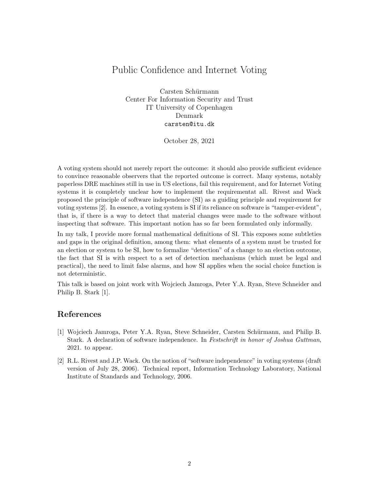## Public Confidence and Internet Voting

Carsten Schürmann Center For Information Security and Trust IT University of Copenhagen Denmark carsten@itu.dk

October 28, 2021

A voting system should not merely report the outcome: it should also provide sufficient evidence to convince reasonable observers that the reported outcome is correct. Many systems, notably paperless DRE machines still in use in US elections, fail this requirement, and for Internet Voting systems it is completely unclear how to implement the requirementat all. Rivest and Wack proposed the principle of software independence (SI) as a guiding principle and requirement for voting systems [2]. In essence, a voting system is SI if its reliance on software is "tamper-evident", that is, if there is a way to detect that material changes were made to the software without inspecting that software. This important notion has so far been formulated only informally.

In my talk, I provide more formal mathematical definitions of SI. This exposes some subtleties and gaps in the original definition, among them: what elements of a system must be trusted for an election or system to be SI, how to formalize "detection" of a change to an election outcome, the fact that SI is with respect to a set of detection mechanisms (which must be legal and practical), the need to limit false alarms, and how SI applies when the social choice function is not deterministic.

This talk is based on joint work with Wojciech Jamroga, Peter Y.A. Ryan, Steve Schneider and Philip B. Stark [1].

- [1] Wojciech Jamroga, Peter Y.A. Ryan, Steve Schneider, Carsten Schürmann, and Philip B. Stark. A declaration of software independence. In Festschrift in honor of Joshua Guttman, 2021. to appear.
- [2] R.L. Rivest and J.P. Wack. On the notion of "software independence" in voting systems (draft version of July 28, 2006). Technical report, Information Technology Laboratory, National Institute of Standards and Technology, 2006.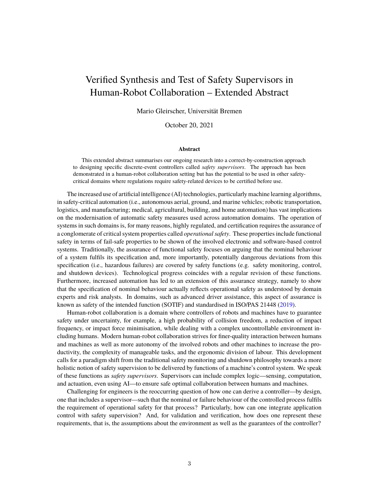## Verified Synthesis and Test of Safety Supervisors in Human-Robot Collaboration – Extended Abstract

Mario Gleirscher, Universität Bremen

October 20, 2021

#### **Abstract**

This extended abstract summarises our ongoing research into a correct-by-construction approach to designing specific discrete-event controllers called *safety supervisors*. The approach has been demonstrated in a human-robot collaboration setting but has the potential to be used in other safetycritical domains where regulations require safety-related devices to be certified before use.

The increased use of artificial intelligence (AI) technologies, particularly machine learning algorithms, in safety-critical automation (i.e., autonomous aerial, ground, and marine vehicles; robotic transportation, logistics, and manufacturing; medical, agricultural, building, and home automation) has vast implications on the modernisation of automatic safety measures used across automation domains. The operation of systems in such domains is, for many reasons, highly regulated, and certification requires the assurance of a conglomerate of critical system properties called *operational safety*. These properties include functional safety in terms of fail-safe properties to be shown of the involved electronic and software-based control systems. Traditionally, the assurance of functional safety focuses on arguing that the nominal behaviour of a system fulfils its specification and, more importantly, potentially dangerous deviations from this specification (i.e., hazardous failures) are covered by safety functions (e.g. safety monitoring, control, and shutdown devices). Technological progress coincides with a regular revision of these functions. Furthermore, increased automation has led to an extension of this assurance strategy, namely to show that the specification of nominal behaviour actually reflects operational safety as understood by domain experts and risk analysts. In domains, such as advanced driver assistance, this aspect of assurance is known as safety of the intended function (SOTIF) and standardised in ISO/PAS 21448 (2019).

Human-robot collaboration is a domain where controllers of robots and machines have to guarantee safety under uncertainty, for example, a high probability of collision freedom, a reduction of impact frequency, or impact force minimisation, while dealing with a complex uncontrollable environment including humans. Modern human-robot collaboration strives for finer-quality interaction between humans and machines as well as more autonomy of the involved robots and other machines to increase the productivity, the complexity of manageable tasks, and the ergonomic division of labour. This development calls for a paradigm shift from the traditional safety monitoring and shutdown philosophy towards a more holistic notion of safety supervision to be delivered by functions of a machine's control system. We speak of these functions as *safety supervisors*. Supervisors can include complex logic—sensing, computation, and actuation, even using AI—to ensure safe optimal collaboration between humans and machines.

Challenging for engineers is the reoccurring question of how one can derive a controller—by design, one that includes a supervisor—such that the nominal or failure behaviour of the controlled process fulfils the requirement of operational safety for that process? Particularly, how can one integrate application control with safety supervision? And, for validation and verification, how does one represent these requirements, that is, the assumptions about the environment as well as the guarantees of the controller?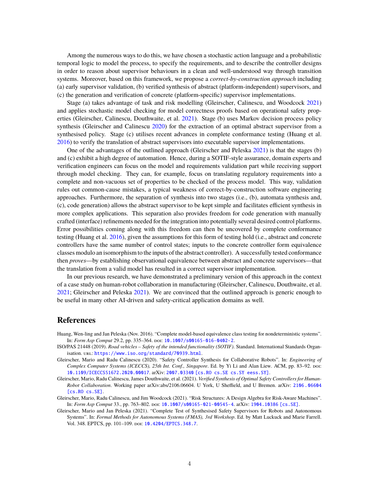Among the numerous ways to do this, we have chosen a stochastic action language and a probabilistic temporal logic to model the process, to specify the requirements, and to describe the controller designs in order to reason about supervisor behaviours in a clean and well-understood way through transition systems. Moreover, based on this framework, we propose a *correct-by-construction approach* including (a) early supervisor validation, (b) verified synthesis of abstract (platform-independent) supervisors, and (c) the generation and verification of concrete (platform-specific) supervisor implementations.

Stage (a) takes advantage of task and risk modelling (Gleirscher, Calinescu, and Woodcock 2021) and applies stochastic model checking for model correctness proofs based on operational safety properties (Gleirscher, Calinescu, Douthwaite, et al. 2021). Stage (b) uses Markov decision process policy synthesis (Gleirscher and Calinescu 2020) for the extraction of an optimal abstract supervisor from a synthesised policy. Stage (c) utilises recent advances in complete conformance testing (Huang et al. 2016) to verify the translation of abstract supervisors into executable supervisor implementations.

One of the advantages of the outlined approach (Gleirscher and Peleska 2021) is that the stages (b) and (c) exhibit a high degree of automation. Hence, during a SOTIF-style assurance, domain experts and verification engineers can focus on the model and requirements validation part while receiving support through model checking. They can, for example, focus on translating regulatory requirements into a complete and non-vacuous set of properties to be checked of the process model. This way, validation rules out common-cause mistakes, a typical weakness of correct-by-construction software engineering approaches. Furthermore, the separation of synthesis into two stages (i.e., (b), automata synthesis and, (c), code generation) allows the abstract supervisor to be kept simple and facilitates efficient synthesis in more complex applications. This separation also provides freedom for code generation with manually crafted (interface) refinements needed for the integration into potentially several desired control platforms. Error possibilities coming along with this freedom can then be uncovered by complete conformance testing (Huang et al. 2016), given the assumptions for this form of testing hold (i.e., abstract and concrete controllers have the same number of control states; inputs to the concrete controller form equivalence classes modulo an isomorphism to the inputs of the abstract controller). A successfully tested conformance then *proves*—by establishing observational equivalence between abstract and concrete supervisors—that the translation from a valid model has resulted in a correct supervisor implementation.

In our previous research, we have demonstrated a preliminary version of this approach in the context of a case study on human-robot collaboration in manufacturing (Gleirscher, Calinescu, Douthwaite, et al. 2021; Gleirscher and Peleska 2021). We are convinced that the outlined approach is generic enough to be useful in many other AI-driven and safety-critical application domains as well.

- Huang, Wen-ling and Jan Peleska (Nov. 2016). "Complete model-based equivalence class testing for nondeterministic systems". In: *Form Asp Comput* 29.2, pp. 335–364. poi: 10.1007/s00165-016-0402-2.
- ISO/PAS 21448 (2019). *Road vehicles Safety of the intended functionality (SOTIF)*. Standard. International Standards Organisation. url: https://www.iso.org/standard/70939.html.
- Gleirscher, Mario and Radu Calinescu (2020). "Safety Controller Synthesis for Collaborative Robots". In: *Engineering of Complex Computer Systems (ICECCS), 25th Int. Conf., Singapore*. Ed. by Yi Li and Alan Liew. ACM, pp. 83–92. doi: 10.1109/ICECCS51672.2020.00017. arXiv: 2007.03340 [cs.RO cs.SE cs.SY eess.SY].
- Gleirscher, Mario, Radu Calinescu, James Douthwaite, et al. (2021). *Verified Synthesis of Optimal Safety Controllers for Human-Robot Collaboration*. Working paper arXiv:abs/2106.06604. U York, U Sheffield, and U Bremen. arXiv: 2106.06604 [cs.RO cs.SE].
- Gleirscher, Mario, Radu Calinescu, and Jim Woodcock (2021). "Risk Structures: A Design Algebra for Risk-Aware Machines". In: *Form Asp Comput* 33., pp. 763–802. doi: 10.1007/s00165-021-00545-4. arXiv: 1904.10386 [cs.SE].
- Gleirscher, Mario and Jan Peleska (2021). "Complete Test of Synthesised Safety Supervisors for Robots and Autonomous Systems". In: *Formal Methods for Autonomous Systems (FMAS), 3rd Workshop*. Ed. by Matt Luckuck and Marie Farrell. Vol. 348. EPTCS, pp. 101–109. doi: 10.4204/EPTCS.348.7.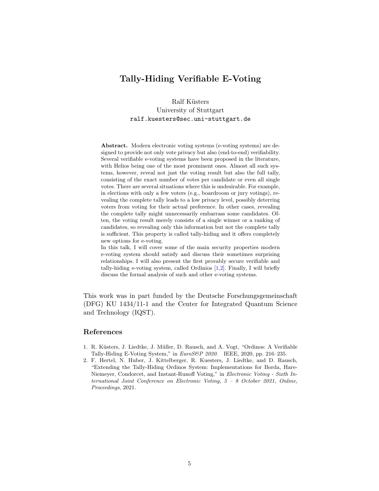## Tally-Hiding Verifiable E-Voting

Ralf Küsters University of Stuttgart ralf.kuesters@sec.uni-stuttgart.de

Abstract. Modern electronic voting systems (e-voting systems) are designed to provide not only vote privacy but also (end-to-end) verifiability. Several verifiable e-voting systems have been proposed in the literature, with Helios being one of the most prominent ones. Almost all such systems, however, reveal not just the voting result but also the full tally, consisting of the exact number of votes per candidate or even all single votes. There are several situations where this is undesirable. For example, in elections with only a few voters (e.g., boardroom or jury votings), revealing the complete tally leads to a low privacy level, possibly deterring voters from voting for their actual preference. In other cases, revealing the complete tally might unnecessarily embarrass some candidates. Often, the voting result merely consists of a single winner or a ranking of candidates, so revealing only this information but not the complete tally is sufficient. This property is called tally-hiding and it offers completely new options for e-voting.

In this talk, I will cover some of the main security properties modern e-voting system should satisfy and discuss their sometimes surprising relationships. I will also present the first provably secure verifiable and tally-hiding e-voting system, called Ordinios [1,2]. Finally, I will briefly discuss the formal analysis of such and other e-voting systems.

This work was in part funded by the Deutsche Forschungsgemeinschaft (DFG) KU 1434/11-1 and the Center for Integrated Quantum Science and Technology (IQST).

- 1. R. Küsters, J. Liedtke, J. Müller, D. Rausch, and A. Vogt, "Ordinos: A Verifiable Tally-Hiding E-Voting System," in EuroS&P 2020. IEEE, 2020, pp. 216-235.
- 2. F. Hertel, N. Huber, J. Kittelberger, R. Kuesters, J. Liedtke, and D. Rausch, "Extending the Tally-Hiding Ordinos System: Implementations for Borda, Hare-Niemeyer, Condorcet, and Instant-Runoff Voting," in Electronic Voting - Sixth International Joint Conference on Electronic Voting, 5 – 8 October 2021, Online, Proceedings, 2021.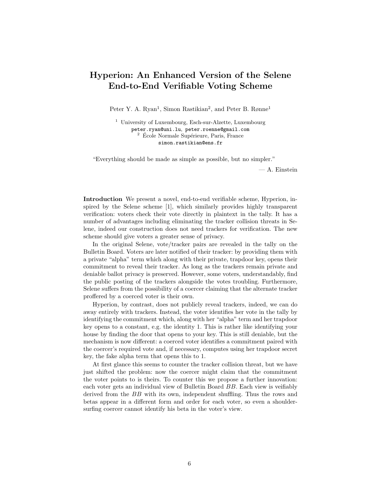## Hyperion: An Enhanced Version of the Selene End-to-End Verifiable Voting Scheme

Peter Y. A. Ryan<sup>1</sup>, Simon Rastikian<sup>2</sup>, and Peter B. Rønne<sup>1</sup>

<sup>1</sup> University of Luxembourg, Esch-sur-Alzette, Luxembourg peter.ryan@uni.lu, peter.roenne@gmail.com  $2\,$  École Normale Supérieure, Paris, France simon.rastikian@ens.fr

"Everything should be made as simple as possible, but no simpler."

— A. Einstein

Introduction We present a novel, end-to-end verifiable scheme, Hyperion, inspired by the Selene scheme [1], which similarly provides highly transparent verification: voters check their vote directly in plaintext in the tally. It has a number of advantages including eliminating the tracker collision threats in Selene, indeed our construction does not need trackers for verification. The new scheme should give voters a greater sense of privacy.

In the original Selene, vote/tracker pairs are revealed in the tally on the Bulletin Board. Voters are later notified of their tracker: by providing them with a private "alpha" term which along with their private, trapdoor key, opens their commitment to reveal their tracker. As long as the trackers remain private and deniable ballot privacy is preserved. However, some voters, understandably, find the public posting of the trackers alongside the votes troubling. Furthermore, Selene suffers from the possibility of a coercer claiming that the alternate tracker proffered by a coerced voter is their own.

Hyperion, by contrast, does not publicly reveal trackers, indeed, we can do away entirely with trackers. Instead, the voter identifies her vote in the tally by identifying the commitment which, along with her "alpha" term and her trapdoor key opens to a constant, e.g. the identity 1. This is rather like identifying your house by finding the door that opens to your key. This is still deniable, but the mechanism is now different: a coerced voter identifies a commitment paired with the coercer's required vote and, if necessary, computes using her trapdoor secret key, the fake alpha term that opens this to 1.

At first glance this seems to counter the tracker collision threat, but we have just shifted the problem: now the coercer might claim that the commitment the voter points to is theirs. To counter this we propose a further innovation: each voter gets an individual view of Bulletin Board BB. Each view is veifiably derived from the BB with its own, independent shuffling. Thus the rows and betas appear in a different form and order for each voter, so even a shouldersurfing coercer cannot identify his beta in the voter's view.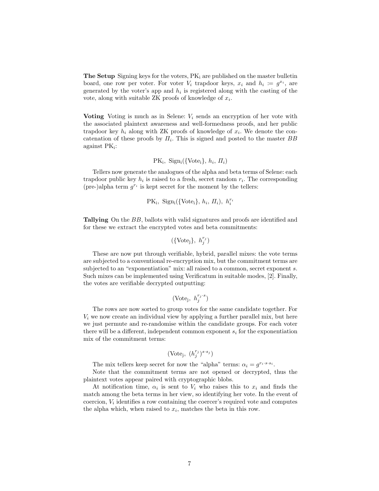**The Setup** Signing keys for the voters,  $PK_i$  are published on the master bulletin board, one row per voter. For voter  $V_i$  trapdoor keys,  $x_i$  and  $h_i := g^{x_i}$ , are generated by the voter's app and  $h_i$  is registered along with the casting of the vote, along with suitable  $ZK$  proofs of knowledge of  $x_i$ .

Voting Voting is much as in Selene:  $V_i$  sends an encryption of her vote with the associated plaintext awareness and well-formedness proofs, and her public trapdoor key  $h_i$  along with ZK proofs of knowledge of  $x_i$ . We denote the concatenation of these proofs by  $\Pi_i$ . This is signed and posted to the master  $BB$  $a$ gainst P $K_i$ :

 $PK_i$ , Sign<sub>i</sub>({Vote<sub>i</sub>},  $h_i$ ,  $\Pi_i$ )

Tellers now generate the analogues of the alpha and beta terms of Selene: each trapdoor public key  $h_i$  is raised to a fresh, secret random  $r_i$ . The corresponding (pre-)alpha term  $g^{r_i}$  is kept secret for the moment by the tellers:

$$
PK_i, Sign_i({\lbrace \text{Vote}_i \rbrace}, h_i, \Pi_i), h_i^{r_i}
$$

Tallying On the BB, ballots with valid signatures and proofs are identified and for these we extract the encrypted votes and beta commitments:

$$
(\{\mathrm{Vote_j}\},\ h^{r_j}_j)
$$

These are now put through verifiable, hybrid, parallel mixes: the vote terms are subjected to a conventional re-encryption mix, but the commitment terms are subjected to an "exponentiation" mix: all raised to a common, secret exponent s. Such mixes can be implemented using Verificatum in suitable modes, [2]. Finally, the votes are verifiable decrypted outputting:

$$
(\text{Vote}_j, h_j^{r_j \cdot s})
$$

The rows are now sorted to group votes for the same candidate together. For  $V_i$  we now create an individual view by applying a further parallel mix, but here we just permute and re-randomise within the candidate groups. For each voter there will be a different, independent common exponent  $s_i$  for the exponentiation mix of the commitment terms:

$$
(\text{Vote}_j,~(h^{r_j}_j)^{s \cdot s_j})
$$

The mix tellers keep secret for now the "alpha" terms:  $\alpha_i = g^{r_i \cdot s \cdot s_i}$ .

Note that the commitment terms are not opened or decrypted, thus the plaintext votes appear paired with cryptographic blobs.

At notification time,  $\alpha_i$  is sent to  $V_i$  who raises this to  $x_i$  and finds the match among the beta terms in her view, so identifying her vote. In the event of  $\alpha$  coercion,  $V_i$  identifies a row containing the coercer's required vote and computes the alpha which, when raised to  $x_i$ , matches the beta in this row.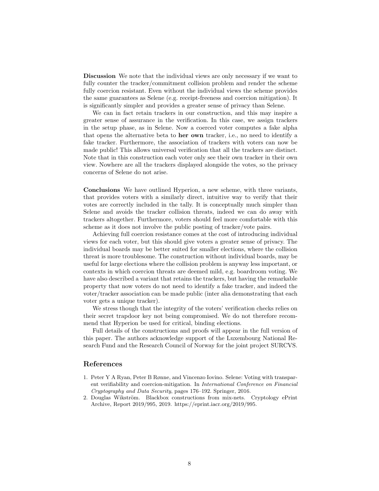Discussion We note that the individual views are only necessary if we want to fully counter the tracker/commitment collision problem and render the scheme fully coercion resistant. Even without the individual views the scheme provides the same guarantees as Selene (e.g. receipt-freeness and coercion mitigation). It is significantly simpler and provides a greater sense of privacy than Selene.

We can in fact retain trackers in our construction, and this may inspire a greater sense of assurance in the verification. In this case, we assign trackers in the setup phase, as in Selene. Now a coerced voter computes a fake alpha that opens the alternative beta to her own tracker, i.e., no need to identify a fake tracker. Furthermore, the association of trackers with voters can now be made public! This allows universal verification that all the trackers are distinct. Note that in this construction each voter only see their own tracker in their own view. Nowhere are all the trackers displayed alongside the votes, so the privacy concerns of Selene do not arise.

Conclusions We have outlined Hyperion, a new scheme, with three variants, that provides voters with a similarly direct, intuitive way to verify that their votes are correctly included in the tally. It is conceptually much simpler than Selene and avoids the tracker collision threats, indeed we can do away with trackers altogether. Furthermore, voters should feel more comfortable with this scheme as it does not involve the public posting of tracker/vote pairs.

Achieving full coercion resistance comes at the cost of introducing individual views for each voter, but this should give voters a greater sense of privacy. The individual boards may be better suited for smaller elections, where the collision threat is more troublesome. The construction without individual boards, may be useful for large elections where the collision problem is anyway less important, or contexts in which coercion threats are deemed mild, e.g. boardroom voting. We have also described a variant that retains the trackers, but having the remarkable property that now voters do not need to identify a fake tracker, and indeed the voter/tracker association can be made public (inter alia demonstrating that each voter gets a unique tracker).

We stress though that the integrity of the voters' verification checks relies on their secret trapdoor key not being compromised. We do not therefore recommend that Hyperion be used for critical, binding elections.

Full details of the constructions and proofs will appear in the full version of this paper. The authors acknowledge support of the Luxembourg National Research Fund and the Research Council of Norway for the joint project SURCVS.

- 1. Peter Y A Ryan, Peter B Rønne, and Vincenzo Iovino. Selene: Voting with transparent verifiability and coercion-mitigation. In International Conference on Financial Cryptography and Data Security, pages 176–192. Springer, 2016.
- 2. Douglas Wikström. Blackbox constructions from mix-nets. Cryptology ePrint Archive, Report 2019/995, 2019. https://eprint.iacr.org/2019/995.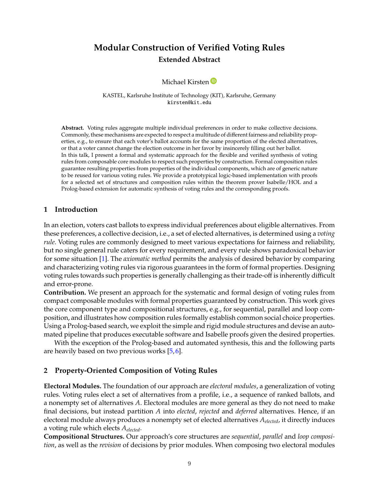## **Modular Construction of Verified Voting Rules Extended Abstract**

#### Michael Kirsten<sup>D</sup>

KASTEL, Karlsruhe Institute of Technology (KIT), Karlsruhe, Germany kirsten@kit.edu

**Abstract.** Voting rules aggregate multiple individual preferences in order to make collective decisions. Commonly, these mechanisms are expected to respect a multitude of different fairness and reliability properties, e.g., to ensure that each voter's ballot accounts for the same proportion of the elected alternatives, or that a voter cannot change the election outcome in her favor by insincerely filling out her ballot. In this talk, I present a formal and systematic approach for the flexible and verified synthesis of voting rules from composable core modules to respect such properties by construction. Formal composition rules guarantee resulting properties from properties of the individual components, which are of generic nature to be reused for various voting rules. We provide a prototypical logic-based implementation with proofs for a selected set of structures and composition rules within the theorem prover Isabelle/HOL and a Prolog-based extension for automatic synthesis of voting rules and the corresponding proofs.

#### **1 Introduction**

In an election, voters cast ballots to express individual preferences about eligible alternatives. From these preferences, a collective decision, i.e., a set of elected alternatives, is determined using a *voting rule*. Voting rules are commonly designed to meet various expectations for fairness and reliability, but no single general rule caters for every requirement, and every rule shows paradoxical behavior for some situation [1]. The *axiomatic method* permits the analysis of desired behavior by comparing and characterizing voting rules via rigorous guarantees in the form of formal properties. Designing voting rules towards such properties is generally challenging as their trade-off is inherently difficult and error-prone.

**Contribution.** We present an approach for the systematic and formal design of voting rules from compact composable modules with formal properties guaranteed by construction. This work gives the core component type and compositional structures, e.g., for sequential, parallel and loop composition, and illustrates how composition rules formally establish common social choice properties. Using a Prolog-based search, we exploit the simple and rigid module structures and devise an automated pipeline that produces executable software and Isabelle proofs given the desired properties.

With the exception of the Prolog-based and automated synthesis, this and the following parts are heavily based on two previous works [5, 6].

#### **2 Property-Oriented Composition of Voting Rules**

**Electoral Modules.** The foundation of our approach are *electoral modules*, a generalization of voting rules. Voting rules elect a set of alternatives from a profile, i.e., a sequence of ranked ballots, and a nonempty set of alternatives  $A$ . Electoral modules are more general as they do not need to make final decisions, but instead partition A into *elected*, *rejected* and *deferred* alternatives. Hence, if an electoral module always produces a nonempty set of elected alternatives  $A_{elected}$ , it directly induces a voting rule which elects  $A_{elected}$ .

**Compositional Structures.** Our approach's core structures are *sequential*, *parallel* and *loop composition*, as well as the *revision* of decisions by prior modules. When composing two electoral modules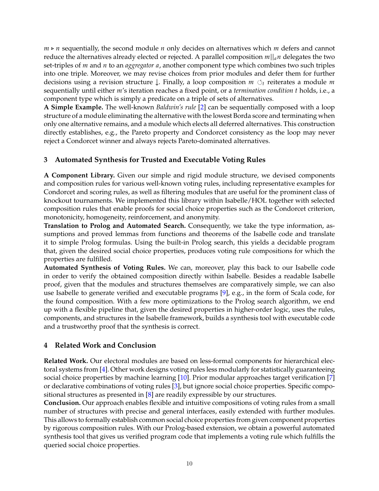$m \triangleright n$  sequentially, the second module  $n$  only decides on alternatives which  $m$  defers and cannot reduce the alternatives already elected or rejected. A parallel composition  $m||_a n$  delegates the two set-triples of *m* and *n* to an *aggregator a*, another component type which combines two such triples into one triple. Moreover, we may revise choices from prior modules and defer them for further decisions using a revision structure  $\downarrow$ . Finally, a loop composition  $m \circ f$  reiterates a module  $m$ sequentially until either *m's* iteration reaches a fixed point, or a *termination condition t* holds, i.e., a component type which is simply a predicate on a triple of sets of alternatives.

**A Simple Example.** The well-known *Baldwin's rule* [2] can be sequentially composed with a loop structure of a module eliminating the alternative with the lowest Borda score and terminating when only one alternative remains, and a module which elects all deferred alternatives. This construction directly establishes, e.g., the Pareto property and Condorcet consistency as the loop may never reject a Condorcet winner and always rejects Pareto-dominated alternatives.

### **3 Automated Synthesis for Trusted and Executable Voting Rules**

**A Component Library.** Given our simple and rigid module structure, we devised components and composition rules for various well-known voting rules, including representative examples for Condorcet and scoring rules, as well as filtering modules that are useful for the prominent class of knockout tournaments. We implemented this library within Isabelle/HOL together with selected composition rules that enable proofs for social choice properties such as the Condorcet criterion, monotonicity, homogeneity, reinforcement, and anonymity.

**Translation to Prolog and Automated Search.** Consequently, we take the type information, assumptions and proved lemmas from functions and theorems of the Isabelle code and translate it to simple Prolog formulas. Using the built-in Prolog search, this yields a decidable program that, given the desired social choice properties, produces voting rule compositions for which the properties are fulfilled.

**Automated Synthesis of Voting Rules.** We can, moreover, play this back to our Isabelle code in order to verify the obtained composition directly within Isabelle. Besides a readable Isabelle proof, given that the modules and structures themselves are comparatively simple, we can also use Isabelle to generate verified and executable programs [9], e.g., in the form of Scala code, for the found composition. With a few more optimizations to the Prolog search algorithm, we end up with a flexible pipeline that, given the desired properties in higher-order logic, uses the rules, components, and structures in the Isabelle framework, builds a synthesis tool with executable code and a trustworthy proof that the synthesis is correct.

#### **4 Related Work and Conclusion**

**Related Work.** Our electoral modules are based on less-formal components for hierarchical electoral systems from [4]. Other work designs voting rules less modularly for statistically guaranteeing social choice properties by machine learning [10]. Prior modular approaches target verification [7] or declarative combinations of voting rules [3], but ignore social choice properties. Specific compositional structures as presented in [8] are readily expressible by our structures.

**Conclusion.** Our approach enables flexible and intuitive compositions of voting rules from a small number of structures with precise and general interfaces, easily extended with further modules. This allows to formally establish common social choice properties from given component properties by rigorous composition rules. With our Prolog-based extension, we obtain a powerful automated synthesis tool that gives us verified program code that implements a voting rule which fulfills the queried social choice properties.